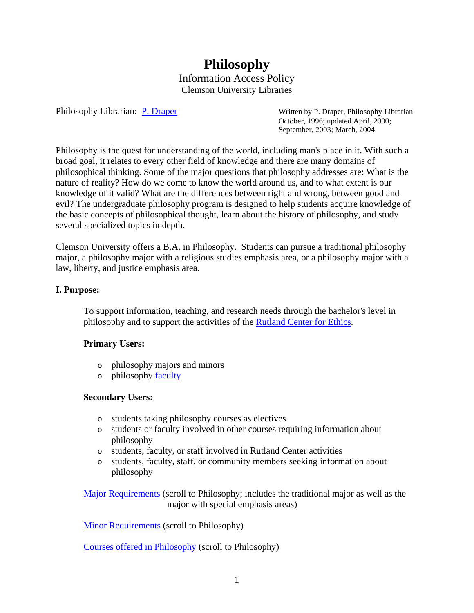# **Philosophy** Information Access Policy Clemson University Libraries

Philosophy Librarian: [P. Draper](mailto:pdraper@clemson.edu) Written by P. Draper, Philosophy Librarian October, 1996; updated April, 2000; September, 2003; March, 2004

Philosophy is the quest for understanding of the world, including man's place in it. With such a broad goal, it relates to every other field of knowledge and there are many domains of philosophical thinking. Some of the major questions that philosophy addresses are: What is the nature of reality? How do we come to know the world around us, and to what extent is our knowledge of it valid? What are the differences between right and wrong, between good and evil? The undergraduate philosophy program is designed to help students acquire knowledge of the basic concepts of philosophical thought, learn about the history of philosophy, and study several specialized topics in depth.

Clemson University offers a B.A. in Philosophy. Students can pursue a traditional philosophy major, a philosophy major with a religious studies emphasis area, or a philosophy major with a law, liberty, and justice emphasis area.

# **I. Purpose:**

To support information, teaching, and research needs through the bachelor's level in philosophy and to support the activities of the [Rutland Center for Ethics.](http://www.clemson.edu/caah/rutland/)

# **Primary Users:**

- o philosophy majors and minors
- o philosophy [faculty](http://www.clemson.edu/caah/philosophy/faculty_staff.html)

#### **Secondary Users:**

- o students taking philosophy courses as electives
- o students or faculty involved in other courses requiring information about philosophy
- o students, faculty, or staff involved in Rutland Center activities
- o students, faculty, staff, or community members seeking information about philosophy

[Major Requirements](http://www.registrar.clemson.edu/publicat/catalog/2007/aah.pdf) (scroll to Philosophy; includes the traditional major as well as the major with special emphasis areas)

[Minor Requirements](http://www.registrar.clemson.edu/publicat/catalog/2007/minors.pdf) (scroll to Philosophy)

[Courses offered in Philosophy](http://www.registrar.clemson.edu/publicat/catalog/2006_PDF/190_201PKGSC_READ.pdf) (scroll to Philosophy)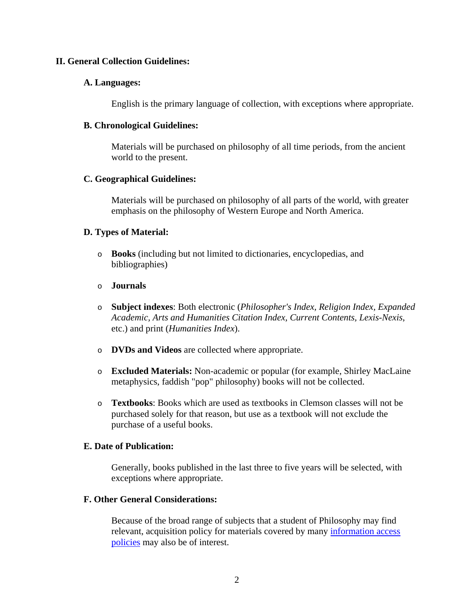## **II. General Collection Guidelines:**

#### **A. Languages:**

English is the primary language of collection, with exceptions where appropriate.

#### **B. Chronological Guidelines:**

Materials will be purchased on philosophy of all time periods, from the ancient world to the present.

## **C. Geographical Guidelines:**

Materials will be purchased on philosophy of all parts of the world, with greater emphasis on the philosophy of Western Europe and North America.

## **D. Types of Material:**

- o **Books** (including but not limited to dictionaries, encyclopedias, and bibliographies)
- o **Journals**
- o **Subject indexes**: Both electronic (*Philosopher's Index, Religion Index, Expanded Academic, Arts and Humanities Citation Index, Current Contents, Lexis-Nexis*, etc.) and print (*Humanities Index*).
- o **DVDs and Videos** are collected where appropriate.
- o **Excluded Materials:** Non-academic or popular (for example, Shirley MacLaine metaphysics, faddish "pop" philosophy) books will not be collected.
- o **Textbooks**: Books which are used as textbooks in Clemson classes will not be purchased solely for that reason, but use as a textbook will not exclude the purchase of a useful books.

#### **E. Date of Publication:**

Generally, books published in the last three to five years will be selected, with exceptions where appropriate.

#### **F. Other General Considerations:**

Because of the broad range of subjects that a student of Philosophy may find relevant, acquisition policy for materials covered by many information access [policies](http://www.lib.clemson.edu/aboutlib/infoaccess/index.htm) may also be of interest.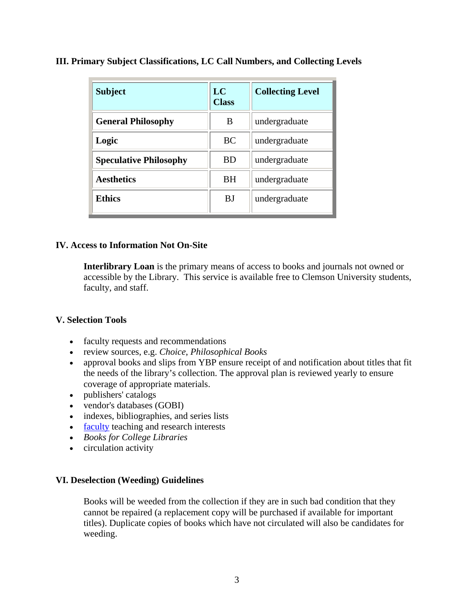| <b>Subject</b>                | LC<br><b>Class</b> | <b>Collecting Level</b> |
|-------------------------------|--------------------|-------------------------|
| <b>General Philosophy</b>     | B                  | undergraduate           |
| Logic                         | <b>BC</b>          | undergraduate           |
| <b>Speculative Philosophy</b> | <b>BD</b>          | undergraduate           |
| <b>Aesthetics</b>             | <b>BH</b>          | undergraduate           |
| <b>Ethics</b>                 | BJ                 | undergraduate           |

# **III. Primary Subject Classifications, LC Call Numbers, and Collecting Levels**

## **IV. Access to Information Not On-Site**

**Interlibrary Loan** is the primary means of access to books and journals not owned or accessible by the Library. This service is available free to Clemson University students, faculty, and staff.

# **V. Selection Tools**

- faculty requests and recommendations
- review sources, e.g. *Choice*, *Philosophical Books*
- approval books and slips from YBP ensure receipt of and notification about titles that fit the needs of the library's collection. The approval plan is reviewed yearly to ensure coverage of appropriate materials.
- publishers' catalogs
- vendor's databases (GOBI)
- indexes, bibliographies, and series lists
- [faculty](http://www.clemson.edu/caah/philosophy/faculty_staff.html) teaching and research interests
- *Books for College Libraries*
- circulation activity

#### **VI. Deselection (Weeding) Guidelines**

Books will be weeded from the collection if they are in such bad condition that they cannot be repaired (a replacement copy will be purchased if available for important titles). Duplicate copies of books which have not circulated will also be candidates for weeding.